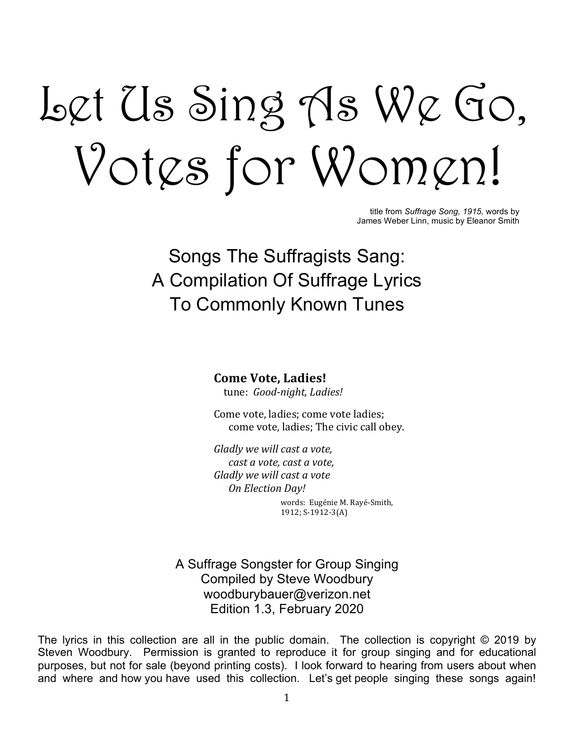# Let Us Sing As We Go, Votes for Women!

title from *Suffrage Song, 1915,* words by James Weber Linn, music by Eleanor Smith

Songs The Suffragists Sang: A Compilation Of Suffrage Lyrics To Commonly Known Tunes

> **Come Vote, Ladies!** tune: *Good-night*, Ladies!

Come vote, ladies; come vote ladies; come vote, ladies; The civic call obey.

*Gladly we will cast a vote, cast a vote, cast a vote, Gladly we will cast a vote On Election Day!* words: Eugénie M. Rayé-Smith, 1912; S-1912-3(A)

A Suffrage Songster for Group Singing Compiled by Steve Woodbury woodburybauer@verizon.net Edition 1.3, February 2020

The lyrics in this collection are all in the public domain. The collection is copyright © 2019 by Steven Woodbury. Permission is granted to reproduce it for group singing and for educational purposes, but not for sale (beyond printing costs). I look forward to hearing from users about when and where and how you have used this collection. Let's get people singing these songs again!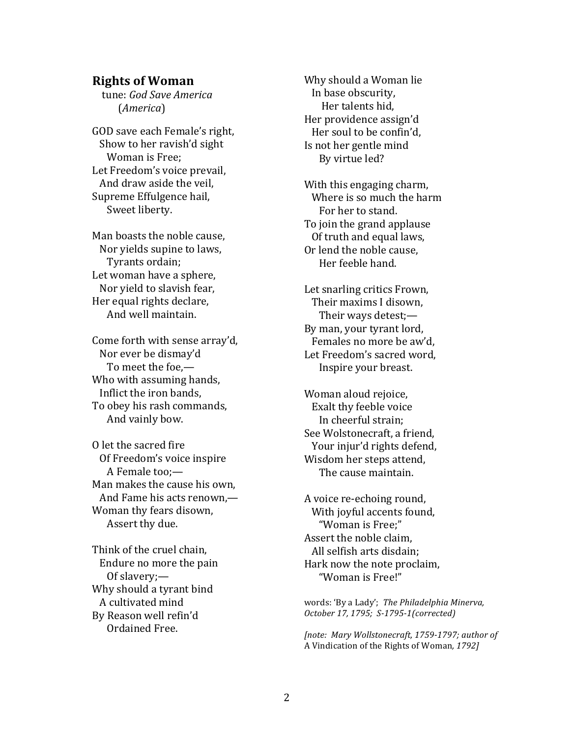#### **Rights of Woman**

 tune: *God Save America* (*America*) 

GOD save each Female's right, Show to her ravish'd sight Woman is Free; Let Freedom's voice prevail, And draw aside the veil, Supreme Effulgence hail, Sweet liberty.

Man boasts the noble cause, Nor yields supine to laws, Tyrants ordain: Let woman have a sphere, Nor yield to slavish fear, Her equal rights declare, And well maintain.

Come forth with sense array'd, Nor ever be dismay'd To meet the foe.— Who with assuming hands. Inflict the iron bands. To obey his rash commands, And vainly bow.

O let the sacred fire Of Freedom's voice inspire A Female too;-Man makes the cause his own, And Fame his acts renown.— Woman thy fears disown, Assert thy due.

Think of the cruel chain. Endure no more the pain Of slavery; $-$ Why should a tyrant bind A cultivated mind By Reason well refin'd Ordained Free.

Why should a Woman lie In base obscurity, Her talents hid. Her providence assign'd Her soul to be confin'd, Is not her gentle mind By virtue led?

With this engaging charm, Where is so much the harm For her to stand. To join the grand applause Of truth and equal laws, Or lend the noble cause, Her feeble hand.

Let snarling critics Frown. Their maxims I disown, Their ways detest; $-$ By man, your tyrant lord, Females no more be aw'd, Let Freedom's sacred word, Inspire your breast.

Woman aloud rejoice, Exalt thy feeble voice In cheerful strain: See Wolstonecraft, a friend, Your injur'd rights defend, Wisdom her steps attend, The cause maintain.

A voice re-echoing round, With joyful accents found, "Woman is Free:" Assert the noble claim. All selfish arts disdain; Hark now the note proclaim. "Woman is Free!"

words: 'By a Lady'; The Philadelphia Minerva, *October 17, 1795; S-1795-1(corrected)*

*[note: Mary Wollstonecraft, 1759-1797; author of*  A Vindication of the Rights of Woman*, 1792]*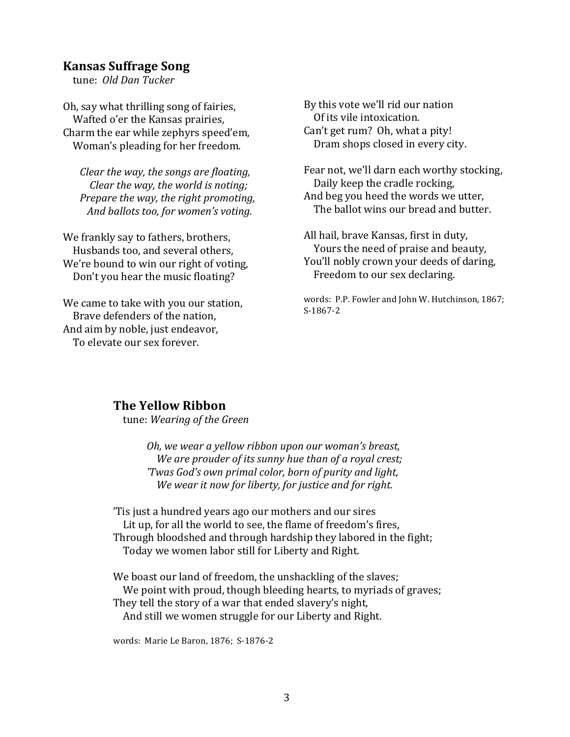#### **Kansas Suffrage Song**

 tune: *Old Dan Tucker*

Oh, say what thrilling song of fairies, Wafted o'er the Kansas prairies, Charm the ear while zephyrs speed'em, Woman's pleading for her freedom.

*Clear the way, the songs are floating, Clear the way, the world is noting; Prepare the way, the right promoting,* And ballots too, for women's voting.

We frankly say to fathers, brothers, Husbands too, and several others, We're bound to win our right of voting, Don't you hear the music floating?

We came to take with you our station, Brave defenders of the nation, And aim by noble, just endeavor, To elevate our sex forever.

By this vote we'll rid our nation Of its vile intoxication. Can't get rum? Oh, what a pity! Dram shops closed in every city.

Fear not, we'll darn each worthy stocking, Daily keep the cradle rocking, And beg you heed the words we utter, The ballot wins our bread and butter.

All hail, brave Kansas, first in dutv. Yours the need of praise and beauty, You'll nobly crown your deeds of daring, Freedom to our sex declaring.

words: P.P. Fowler and John W. Hutchinson, 1867; S-1867-2

#### **The Yellow Ribbon**

 tune: *Wearing of the Green*

*Oh, we wear a yellow ribbon upon our woman's breast,* We are prouder of its sunny hue than of a royal crest; *'Twas God's own primal color, born of purity and light,* We wear it now for liberty, for justice and for right.

'Tis just a hundred years ago our mothers and our sires Lit up, for all the world to see, the flame of freedom's fires, Through bloodshed and through hardship they labored in the fight; Today we women labor still for Liberty and Right.

We boast our land of freedom, the unshackling of the slaves; We point with proud, though bleeding hearts, to myriads of graves; They tell the story of a war that ended slavery's night, And still we women struggle for our Liberty and Right.

words: Marie Le Baron, 1876; S-1876-2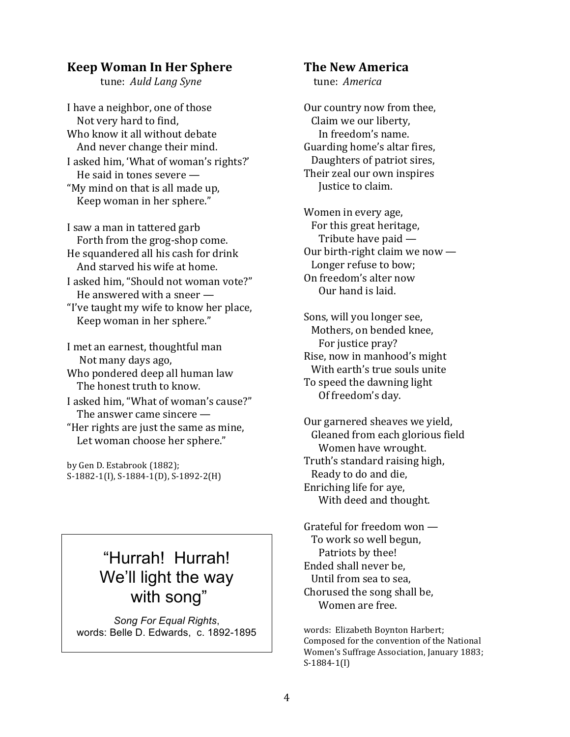#### **Keep Woman In Her Sphere**

tune: Auld Lang Syne

I have a neighbor, one of those Not very hard to find, Who know it all without debate And never change their mind. I asked him, 'What of woman's rights?' He said in tones severe -"My mind on that is all made up, Keep woman in her sphere."

I saw a man in tattered garb Forth from the grog-shop come. He squandered all his cash for drink And starved his wife at home. I asked him, "Should not woman vote?"

He answered with a sneer  $-$ 

"I've taught my wife to know her place, Keep woman in her sphere."

I met an earnest, thoughtful man Not many days ago, Who pondered deep all human law The honest truth to know. I asked him, "What of woman's cause?" The answer came sincere  $-$ 

"Her rights are just the same as mine, Let woman choose her sphere."

by Gen D. Estabrook (1882); S-1882-1(I), S-1884-1(D), S-1892-2(H)

# "Hurrah! Hurrah! We'll light the way with song"

*Song For Equal Rights*, words: Belle D. Edwards, c. 1892-1895

#### **The New America**

 tune: *America*

Our country now from thee, Claim we our liberty. In freedom's name. Guarding home's altar fires, Daughters of patriot sires, Their zeal our own inspires Justice to claim.

Women in every age, For this great heritage, Tribute have paid  $-$ Our birth-right claim we now  $-$ Longer refuse to bow; On freedom's alter now Our hand is laid.

Sons, will you longer see, Mothers, on bended knee, For justice pray? Rise, now in manhood's might With earth's true souls unite To speed the dawning light Of freedom's day.

Our garnered sheaves we yield, Gleaned from each glorious field Women have wrought. Truth's standard raising high, Ready to do and die, Enriching life for aye, With deed and thought.

Grateful for freedom won  $-$ To work so well begun, Patriots by thee! Ended shall never be, Until from sea to sea, Chorused the song shall be, Women are free.

words: Elizabeth Boynton Harbert; Composed for the convention of the National Women's Suffrage Association, January 1883; S-1884-1(I)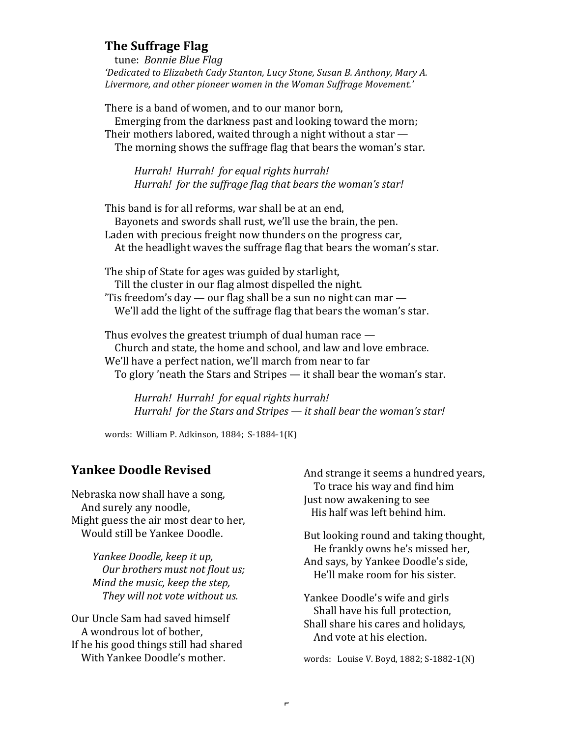#### **The Suffrage Flag**

tune: *Bonnie Blue Flag* 'Dedicated to Elizabeth Cady Stanton, Lucy Stone, Susan B. Anthony, Mary A. Livermore, and other pioneer women in the Woman Suffrage Movement.'

There is a band of women, and to our manor born, Emerging from the darkness past and looking toward the morn; Their mothers labored, waited through a night without a star  $-$ The morning shows the suffrage flag that bears the woman's star.

*Hurrah! Hurrah! for equal rights hurrah! Hurrah!* for the suffrage flag that bears the woman's star!

This band is for all reforms, war shall be at an end, Bayonets and swords shall rust, we'll use the brain, the pen. Laden with precious freight now thunders on the progress car, At the headlight waves the suffrage flag that bears the woman's star.

The ship of State for ages was guided by starlight, Till the cluster in our flag almost dispelled the night. Tis freedom's day — our flag shall be a sun no night can mar — We'll add the light of the suffrage flag that bears the woman's star.

Thus evolves the greatest triumph of dual human race  $-$ Church and state, the home and school, and law and love embrace. We'll have a perfect nation, we'll march from near to far To glory 'neath the Stars and Stripes  $-$  it shall bear the woman's star.

*Hurrah! Hurrah! for equal rights hurrah! Hurrah!* for the Stars and Stripes — it shall bear the woman's star!

words: William P. Adkinson, 1884; S-1884-1(K)

#### **Yankee Doodle Revised**

Nebraska now shall have a song. And surely any noodle, Might guess the air most dear to her. Would still be Yankee Doodle.

> *Yankee Doodle, keep it up, Our brothers must not flout us; Mind the music, keep the step, They will not vote without us.*

Our Uncle Sam had saved himself A wondrous lot of bother, If he his good things still had shared With Yankee Doodle's mother.

And strange it seems a hundred years, To trace his way and find him Just now awakening to see His half was left behind him.

But looking round and taking thought, He frankly owns he's missed her, And says, by Yankee Doodle's side, He'll make room for his sister.

Yankee Doodle's wife and girls Shall have his full protection, Shall share his cares and holidays, And vote at his election.

words: Louise V. Boyd, 1882; S-1882-1(N)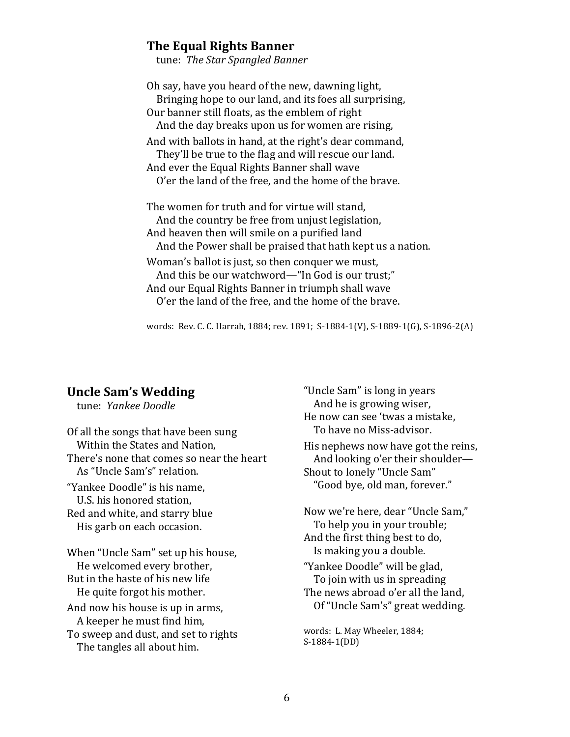#### **The Equal Rights Banner**

tune: The Star Spangled Banner

Oh say, have you heard of the new, dawning light, Bringing hope to our land, and its foes all surprising, Our banner still floats, as the emblem of right And the day breaks upon us for women are rising, And with ballots in hand, at the right's dear command, They'll be true to the flag and will rescue our land. And ever the Equal Rights Banner shall wave O'er the land of the free, and the home of the brave. The women for truth and for virtue will stand.

And the country be free from unjust legislation, And heaven then will smile on a purified land And the Power shall be praised that hath kept us a nation. Woman's ballot is just, so then conquer we must, And this be our watchword—"In God is our trust;" And our Equal Rights Banner in triumph shall wave O'er the land of the free, and the home of the brave.

words: Rev. C. C. Harrah, 1884; rev. 1891; S-1884-1(V), S-1889-1(G), S-1896-2(A)

#### **Uncle Sam's Wedding**

 tune: *Yankee Doodle*

Of all the songs that have been sung Within the States and Nation. There's none that comes so near the heart As "Uncle Sam's" relation. "Yankee Doodle" is his name, U.S. his honored station, Red and white, and starry blue His garb on each occasion.

When "Uncle Sam" set up his house, He welcomed every brother, But in the haste of his new life He quite forgot his mother. And now his house is up in arms, A keeper he must find him.

To sweep and dust, and set to rights The tangles all about him.

"Uncle Sam" is long in years And he is growing wiser, He now can see 'twas a mistake, To have no Miss-advisor. His nephews now have got the reins, And looking o'er their shoulder— Shout to lonely "Uncle Sam" "Good bye, old man, forever."

Now we're here, dear "Uncle Sam," To help you in your trouble; And the first thing best to do, Is making you a double.

"Yankee Doodle" will be glad, To join with us in spreading The news abroad o'er all the land, Of "Uncle Sam's" great wedding.

words: L. May Wheeler, 1884; S-1884-1(DD)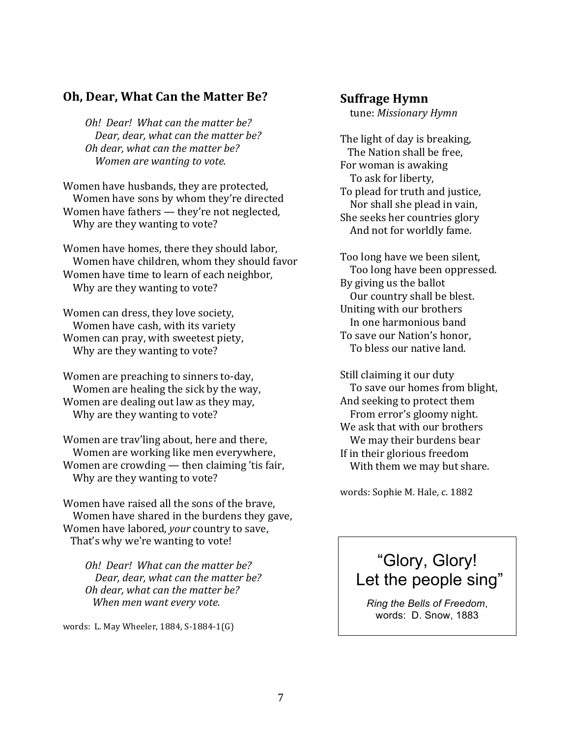#### **Oh, Dear, What Can the Matter Be?**

*Oh! Dear! What can the matter be?* Dear, dear, what can the matter be? *Oh dear, what can the matter be? Women are wanting to vote.* 

Women have husbands, they are protected, Women have sons by whom they're directed Women have fathers — they're not neglected, Why are they wanting to vote?

Women have homes, there they should labor, Women have children, whom they should favor Women have time to learn of each neighbor, Why are they wanting to vote?

Women can dress, they love society, Women have cash, with its variety Women can pray, with sweetest piety, Why are they wanting to vote?

Women are preaching to sinners to-day, Women are healing the sick by the way, Women are dealing out law as they may, Why are they wanting to vote?

Women are trav'ling about, here and there, Women are working like men everywhere, Women are crowding  $-$  then claiming 'tis fair, Why are they wanting to vote?

Women have raised all the sons of the brave, Women have shared in the burdens they gave, Women have labored, *your* country to save, That's why we're wanting to vote!

*<i>Oh!* Dear! What can the matter be? Dear, dear, what can the matter be? *<i>Oh* dear, what can the matter be? *When men want every vote.* 

words: L. May Wheeler, 1884, S-1884-1(G)

#### **Suffrage Hymn**

 tune: *Missionary Hymn*

The light of day is breaking, The Nation shall be free, For woman is awaking To ask for liberty, To plead for truth and justice, Nor shall she plead in vain, She seeks her countries glory And not for worldly fame.

Too long have we been silent, Too long have been oppressed. By giving us the ballot Our country shall be blest. Uniting with our brothers In one harmonious band To save our Nation's honor, To bless our native land.

Still claiming it our duty To save our homes from blight, And seeking to protect them From error's gloomy night. We ask that with our brothers We may their burdens bear If in their glorious freedom With them we may but share.

words: Sophie M. Hale, c. 1882

## "Glory, Glory! Let the people sing"

*Ring the Bells of Freedom*, words: D. Snow, 1883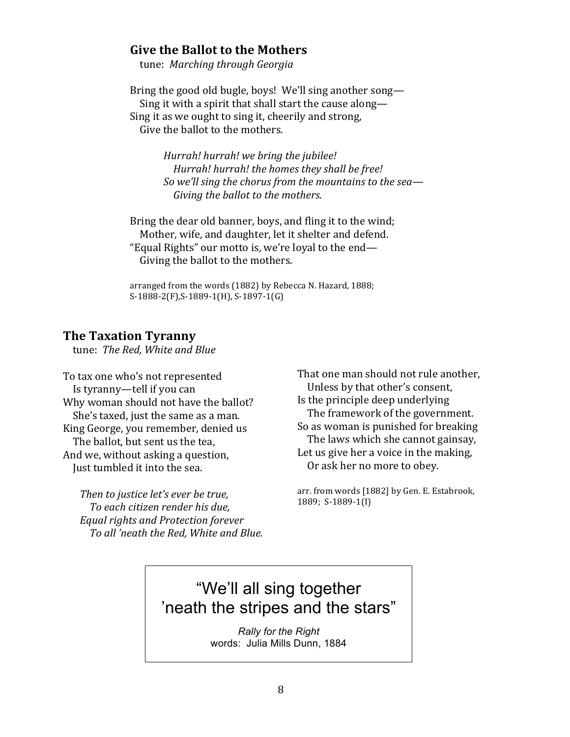#### **Give the Ballot to the Mothers**

tune: Marching through Georgia

Bring the good old bugle, boys! We'll sing another song— Sing it with a spirit that shall start the cause along— Sing it as we ought to sing it, cheerily and strong, Give the ballot to the mothers.

> *Hurrah! hurrah! we bring the jubilee! Hurrah! hurrah! the homes they shall be free! So* we'll sing the chorus from the mountains to the sea— *Giving the ballot to the mothers.*

Bring the dear old banner, boys, and fling it to the wind; Mother, wife, and daughter, let it shelter and defend. "Equal Rights" our motto is, we're loyal to the end— Giving the ballot to the mothers.

arranged from the words (1882) by Rebecca N. Hazard, 1888; S-1888-2(F), S-1889-1(H), S-1897-1(G)

#### **The Taxation Tyranny**

tune: The Red, White and Blue

To tax one who's not represented Is tyranny—tell if you can Why woman should not have the ballot? She's taxed, just the same as a man. King George, you remember, denied us The ballot, but sent us the tea, And we, without asking a question, Just tumbled it into the sea.

*Then to justice let's ever be true, To each citizen render his due, Equal rights and Protection forever* To all 'neath the Red, White and Blue.

That one man should not rule another, Unless by that other's consent, Is the principle deep underlying The framework of the government. So as woman is punished for breaking The laws which she cannot gainsay, Let us give her a voice in the making, Or ask her no more to obey.

arr. from words [1882] by Gen. E. Estabrook, 1889; S-1889-1(I)

# "We'll all sing together 'neath the stripes and the stars"

*Rally for the Right* words: Julia Mills Dunn, 1884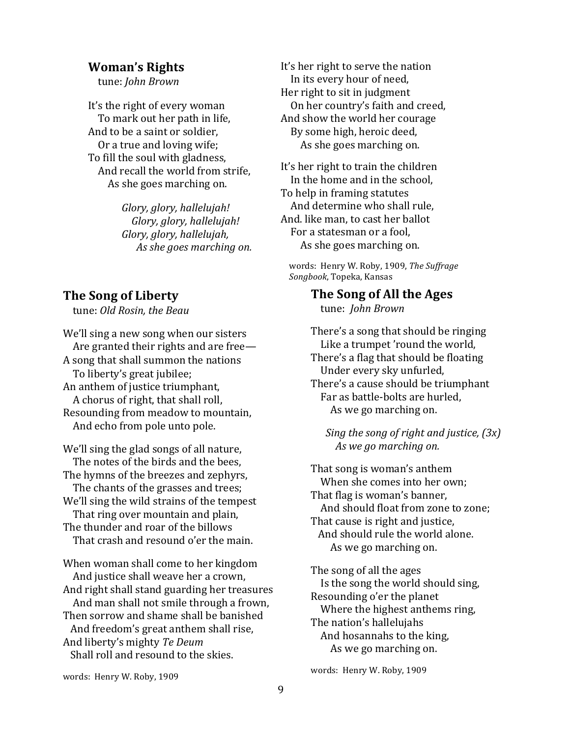#### **Woman's Rights**

 tune: *John Brown*

It's the right of every woman To mark out her path in life, And to be a saint or soldier. Or a true and loving wife: To fill the soul with gladness, And recall the world from strife, As she goes marching on.

> *Glory, glory, hallelujah! Glory, glory, hallelujah! Glory, glory, hallelujah,* As she goes marching on.

#### **The Song of Liberty**

 tune: *Old Rosin, the Beau*

We'll sing a new song when our sisters Are granted their rights and are free— A song that shall summon the nations To liberty's great jubilee; An anthem of justice triumphant, A chorus of right, that shall roll, Resounding from meadow to mountain, And echo from pole unto pole.

We'll sing the glad songs of all nature, The notes of the birds and the bees, The hymns of the breezes and zephyrs, The chants of the grasses and trees; We'll sing the wild strains of the tempest That ring over mountain and plain, The thunder and roar of the billows That crash and resound o'er the main.

When woman shall come to her kingdom And justice shall weave her a crown, And right shall stand guarding her treasures And man shall not smile through a frown, Then sorrow and shame shall be banished And freedom's great anthem shall rise, And liberty's mighty Te Deum Shall roll and resound to the skies.

It's her right to serve the nation In its every hour of need, Her right to sit in judgment On her country's faith and creed, And show the world her courage By some high, heroic deed, As she goes marching on.

It's her right to train the children In the home and in the school, To help in framing statutes And determine who shall rule, And, like man, to cast her ballot For a statesman or a fool, As she goes marching on.

words: Henry W. Roby, 1909, *The Suffrage* Songbook, Topeka, Kansas

> **The Song of All the Ages**  tune: *John Brown*

There's a song that should be ringing Like a trumpet 'round the world, There's a flag that should be floating Under every sky unfurled, There's a cause should be triumphant Far as battle-bolts are hurled, As we go marching on.

*Sing the song of right and justice, (3x)* As we go marching on.

That song is woman's anthem When she comes into her own; That flag is woman's banner, And should float from zone to zone: That cause is right and justice, And should rule the world alone. As we go marching on.

The song of all the ages Is the song the world should sing, Resounding o'er the planet Where the highest anthems ring, The nation's hallelujahs And hosannahs to the king. As we go marching on.

words: Henry W. Roby, 1909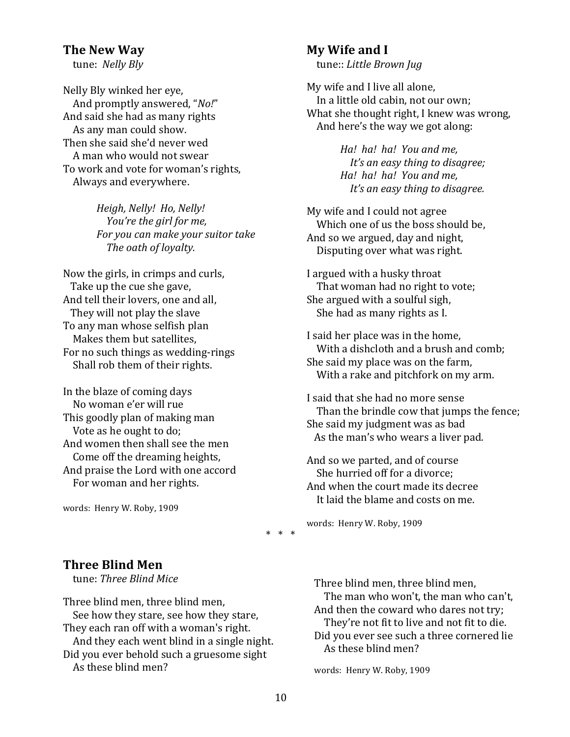#### **The New Way**

tune: *Nelly Bly* 

Nelly Bly winked her eye, And promptly answered, "*No!*" And said she had as many rights As any man could show. Then she said she'd never wed A man who would not swear To work and vote for woman's rights, Always and everywhere.

> *Heigh, Nelly! Ho, Nelly! You're the girl for me, For you can make your suitor take* The oath of loyalty.

Now the girls, in crimps and curls, Take up the cue she gave, And tell their lovers, one and all. They will not play the slave To any man whose selfish plan Makes them but satellites. For no such things as wedding-rings Shall rob them of their rights.

In the blaze of coming days No woman e'er will rue This goodly plan of making man Vote as he ought to do; And women then shall see the men Come off the dreaming heights, And praise the Lord with one accord For woman and her rights.

words: Henry W. Roby, 1909

#### **My Wife and I**

tune:: *Little Brown Jug* 

My wife and I live all alone, In a little old cabin, not our own; What she thought right, I knew was wrong, And here's the way we got along:

> *Ha! ha! ha! You and me,*  It's an easy thing to disagree; *Ha! ha! ha! You and me, It's an easy thing to disagree.*

My wife and I could not agree Which one of us the boss should be, And so we argued, day and night, Disputing over what was right.

I argued with a husky throat That woman had no right to vote; She argued with a soulful sigh, She had as many rights as I.

I said her place was in the home, With a dishcloth and a brush and comb; She said my place was on the farm, With a rake and pitchfork on my arm.

I said that she had no more sense Than the brindle cow that jumps the fence; She said my judgment was as bad As the man's who wears a liver pad.

And so we parted, and of course She hurried off for a divorce; And when the court made its decree It laid the blame and costs on me.

words: Henry W. Roby, 1909

#### **Three Blind Men**

 tune: *Three Blind Mice*

Three blind men, three blind men, See how they stare, see how they stare, They each ran off with a woman's right. And they each went blind in a single night. Did you ever behold such a gruesome sight As these blind men?

Three blind men, three blind men, The man who won't, the man who can't. And then the coward who dares not try; They're not fit to live and not fit to die.

Did you ever see such a three cornered lie As these blind men?

words: Henry W. Roby, 1909

\* \* \*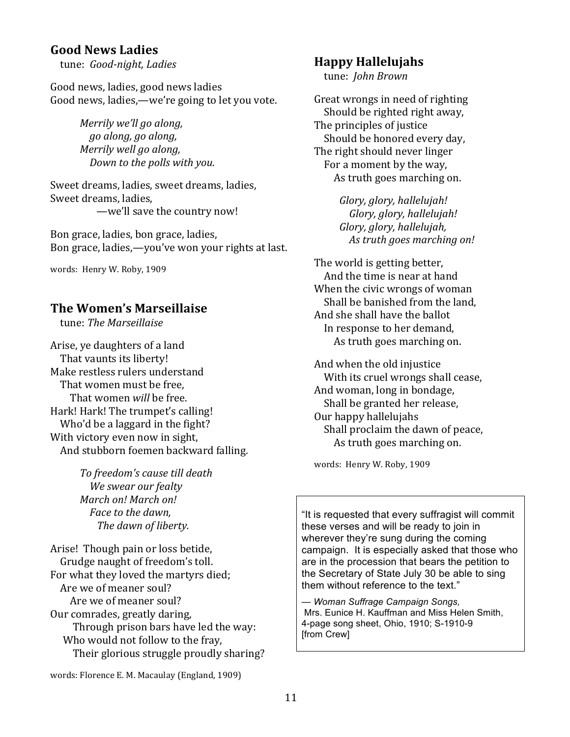#### **Good News Ladies**

 tune: *Good-night, Ladies*

Good news, ladies, good news ladies Good news, ladies,—we're going to let you vote.

> *Merrily we'll go along, go along, go along, Merrily well go along, Down to the polls with you.*

Sweet dreams, ladies, sweet dreams, ladies, Sweet dreams, ladies, -we'll save the country now!

Bon grace, ladies, bon grace, ladies, Bon grace, ladies,—you've won your rights at last.

words: Henry W. Roby, 1909

#### **The Women's Marseillaise**

 tune: *The Marseillaise*

Arise, ye daughters of a land That vaunts its liberty! Make restless rulers understand That women must be free. That women *will* be free. Hark! Hark! The trumpet's calling! Who'd be a laggard in the fight? With victory even now in sight, And stubborn foemen backward falling.

> *To freedom's cause till death* We swear our fealty *March on! March on!* Face to the dawn. The dawn of liberty.

Arise! Though pain or loss betide, Grudge naught of freedom's toll. For what they loved the martyrs died: Are we of meaner soul? Are we of meaner soul? Our comrades, greatly daring, Through prison bars have led the way: Who would not follow to the fray, Their glorious struggle proudly sharing?

words: Florence E. M. Macaulay (England, 1909)

#### **Happy Hallelujahs**

 tune: *John Brown*

Great wrongs in need of righting Should be righted right away, The principles of justice Should be honored every day, The right should never linger For a moment by the way, As truth goes marching on.

> *Glory, glory, hallelujah! Glory, glory, hallelujah! Glory, glory, hallelujah,* As truth goes marching on!

The world is getting better, And the time is near at hand When the civic wrongs of woman Shall be banished from the land, And she shall have the ballot In response to her demand, As truth goes marching on.

And when the old injustice With its cruel wrongs shall cease, And woman, long in bondage, Shall be granted her release, Our happy hallelujahs Shall proclaim the dawn of peace, As truth goes marching on.

words: Henry W. Roby, 1909

"It is requested that every suffragist will commit these verses and will be ready to join in wherever they're sung during the coming campaign. It is especially asked that those who are in the procession that bears the petition to the Secretary of State July 30 be able to sing them without reference to the text."

*— Woman Suffrage Campaign Songs,* Mrs. Eunice H. Kauffman and Miss Helen Smith, 4-page song sheet, Ohio, 1910; S-1910-9 [from Crew]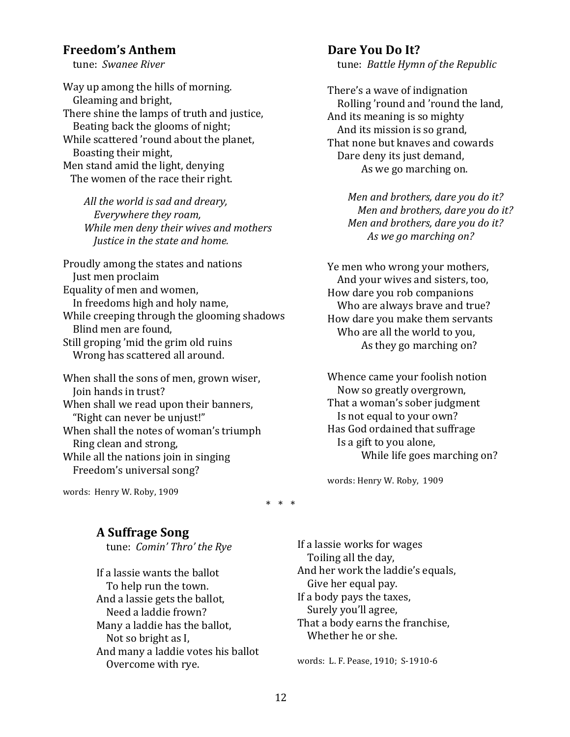#### **Freedom's Anthem**

 tune: *Swanee River*

Way up among the hills of morning. Gleaming and bright, There shine the lamps of truth and justice, Beating back the glooms of night; While scattered 'round about the planet, Boasting their might, Men stand amid the light, denying The women of the race their right.

> All the world is sad and dreary,  *Everywhere they roam, While* men deny their wives and mothers *<i><u>Iustice</u>* in the state and home.

Proudly among the states and nations Just men proclaim Equality of men and women, In freedoms high and holy name, While creeping through the glooming shadows Blind men are found. Still groping 'mid the grim old ruins Wrong has scattered all around.

When shall the sons of men, grown wiser, Join hands in trust? When shall we read upon their banners, "Right can never be unjust!" When shall the notes of woman's triumph Ring clean and strong. While all the nations join in singing Freedom's universal song?

words: Henry W. Roby, 1909

#### Dare You Do It?

tune: Battle Hymn of the Republic

There's a wave of indignation Rolling 'round and 'round the land, And its meaning is so mighty And its mission is so grand, That none but knaves and cowards Dare deny its just demand, As we go marching on.

> *Men and brothers, dare you do it? Men and brothers, dare you do it? Men and brothers, dare you do it?* As we go marching on?

Ye men who wrong your mothers, And your wives and sisters, too, How dare you rob companions Who are always brave and true? How dare you make them servants Who are all the world to you, As they go marching on?

Whence came your foolish notion Now so greatly overgrown, That a woman's sober judgment Is not equal to your own? Has God ordained that suffrage Is a gift to you alone, While life goes marching on?

words: Henry W. Roby, 1909

**A Suffrage Song** 

tune: *Comin' Thro' the Rye* 

If a lassie wants the ballot To help run the town. And a lassie gets the ballot, Need a laddie frown? Many a laddie has the ballot, Not so bright as I, And many a laddie votes his ballot Overcome with rye.

If a lassie works for wages Toiling all the day, And her work the laddie's equals, Give her equal pay. If a body pays the taxes, Surely you'll agree, That a body earns the franchise, Whether he or she.

words: L. F. Pease, 1910; S-1910-6

\* \* \*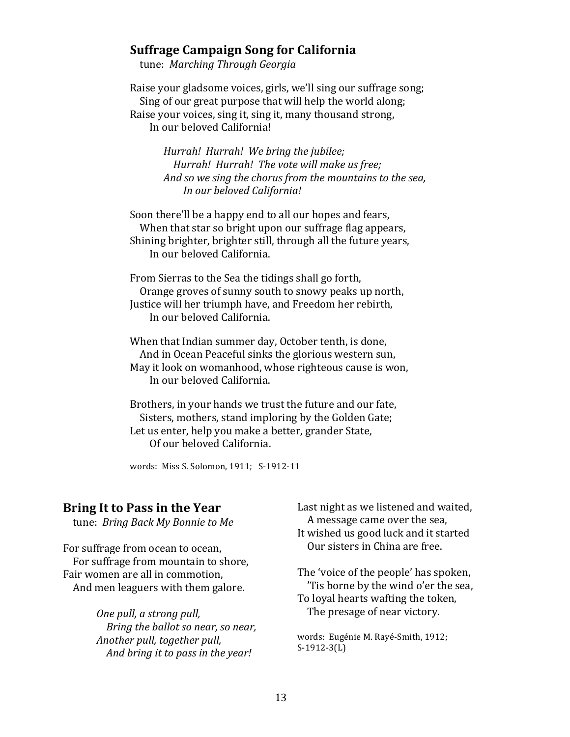#### **Suffrage Campaign Song for California**

 tune: *Marching Through Georgia*

Raise your gladsome voices, girls, we'll sing our suffrage song; Sing of our great purpose that will help the world along; Raise your voices, sing it, sing it, many thousand strong, In our beloved California!

> *Hurrah! Hurrah! We bring the jubilee; Hurrah! Hurrah! The vote will make us free; And so we sing the chorus from the mountains to the sea,* In our beloved California!

Soon there'll be a happy end to all our hopes and fears, When that star so bright upon our suffrage flag appears, Shining brighter, brighter still, through all the future years, In our beloved California.

From Sierras to the Sea the tidings shall go forth, Orange groves of sunny south to snowy peaks up north, Justice will her triumph have, and Freedom her rebirth, In our beloved California.

When that Indian summer day, October tenth, is done, And in Ocean Peaceful sinks the glorious western sun, May it look on womanhood, whose righteous cause is won, In our beloved California.

Brothers, in your hands we trust the future and our fate, Sisters, mothers, stand imploring by the Golden Gate; Let us enter, help you make a better, grander State, Of our beloved California.

words: Miss S. Solomon, 1911; S-1912-11

#### **Bring It to Pass in the Year**

tune: *Bring Back My Bonnie to Me* 

For suffrage from ocean to ocean, For suffrage from mountain to shore, Fair women are all in commotion. And men leaguers with them galore.

> *One pull, a strong pull, Bring the ballot so near, so near, Another pull, together pull, And bring it to pass in the year!*

Last night as we listened and waited, A message came over the sea, It wished us good luck and it started Our sisters in China are free.

The 'voice of the people' has spoken, Tis borne by the wind o'er the sea, To loyal hearts wafting the token, The presage of near victory.

words: Eugénie M. Rayé-Smith, 1912; S-1912-3(L)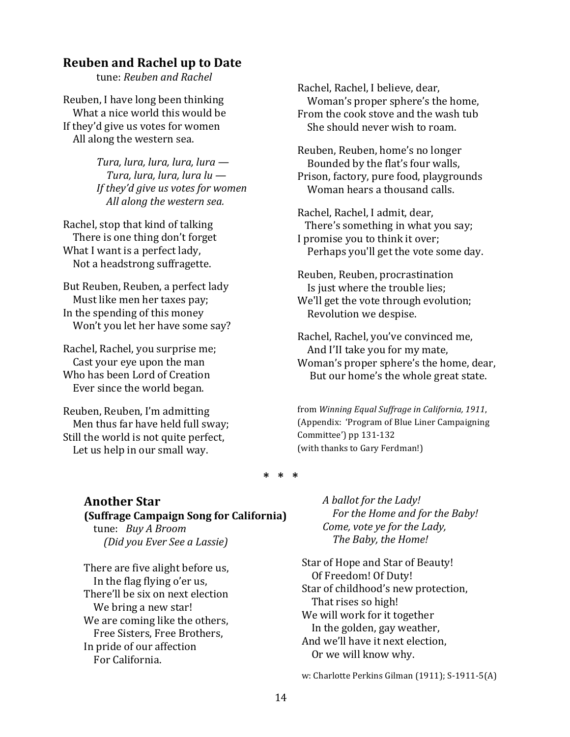#### **Reuben and Rachel up to Date**

tune: *Reuben and Rachel*

Reuben, I have long been thinking What a nice world this would be If they'd give us votes for women All along the western sea.

> *Tura, lura, lura, lura, lura — Tura, lura, lura, lura lu — If* they'd give us votes for women All along the western sea.

Rachel, stop that kind of talking There is one thing don't forget What I want is a perfect lady, Not a headstrong suffragette.

But Reuben, Reuben, a perfect lady Must like men her taxes pay; In the spending of this money Won't you let her have some say?

Rachel, Rachel, you surprise me; Cast your eye upon the man Who has been Lord of Creation Ever since the world began.

Reuben, Reuben, I'm admitting Men thus far have held full sway; Still the world is not quite perfect, Let us help in our small way.

Rachel, Rachel, I believe, dear, Woman's proper sphere's the home, From the cook stove and the wash tub She should never wish to roam.

Reuben, Reuben, home's no longer Bounded by the flat's four walls, Prison, factory, pure food, playgrounds Woman hears a thousand calls.

Rachel, Rachel, I admit, dear, There's something in what you say; I promise you to think it over; Perhaps you'll get the vote some day.

Reuben, Reuben, procrastination Is just where the trouble lies; We'll get the vote through evolution; Revolution we despise.

Rachel, Rachel, you've convinced me, And I'II take you for my mate, Woman's proper sphere's the home, dear, But our home's the whole great state.

from *Winning Equal Suffrage in California, 1911*, (Appendix: 'Program of Blue Liner Campaigning Committee') pp 131-132 (with thanks to Gary Ferdman!)

**\* \* \***

#### **Another Star (Suffrage Campaign Song for California)**

tune: *Buy A Broom (Did you Ever See a Lassie)*

There are five alight before us, In the flag flying o'er us, There'll be six on next election We bring a new star! We are coming like the others, Free Sisters, Free Brothers, In pride of our affection For California.

*A ballot for the Lady!* For the Home and for the Baby! *Come, vote ye for the Lady,* The Baby, the Home!

Star of Hope and Star of Beauty! Of Freedom! Of Duty! Star of childhood's new protection, That rises so high! We will work for it together In the golden, gay weather, And we'll have it next election, Or we will know why.

w: Charlotte Perkins Gilman (1911); S-1911-5(A)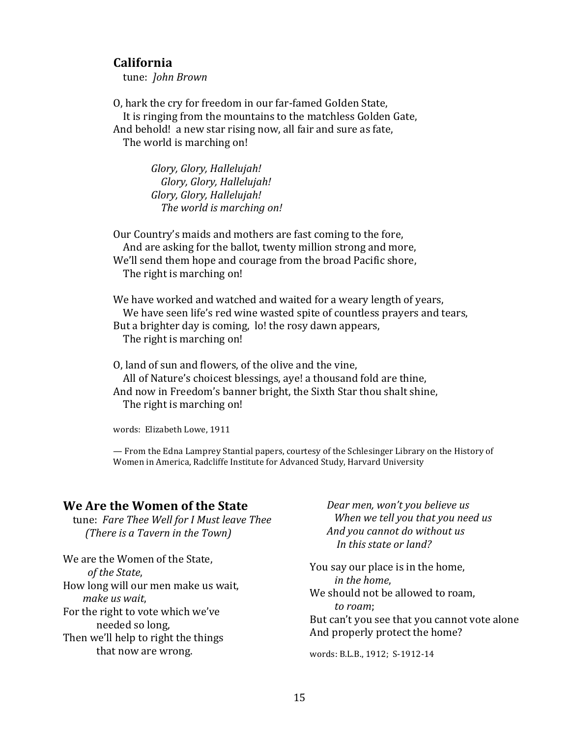#### **California**

 tune: *]ohn Brown*

O, hark the cry for freedom in our far-famed GoIden State, It is ringing from the mountains to the matchless Golden Gate, And behold! a new star rising now, all fair and sure as fate, The world is marching on!

> Glory, Glory, Hallelujah! Glory, Glory, Hallelujah! Glory, Glory, Hallelujah! The world is marching on!

Our Country's maids and mothers are fast coming to the fore, And are asking for the ballot, twenty million strong and more, We'll send them hope and courage from the broad Pacific shore, The right is marching on!

We have worked and watched and waited for a weary length of years, We have seen life's red wine wasted spite of countless prayers and tears, But a brighter day is coming, lo! the rosy dawn appears, The right is marching on!

O, land of sun and flowers, of the olive and the vine, All of Nature's choicest blessings, aye! a thousand fold are thine, And now in Freedom's banner bright, the Sixth Star thou shalt shine, The right is marching on!

words: Elizabeth Lowe, 1911

 $-$  From the Edna Lamprey Stantial papers, courtesy of the Schlesinger Library on the History of Women in America, Radcliffe Institute for Advanced Study, Harvard University

#### **We Are the Women of the State**

tune: Fare Thee Well for I Must leave Thee *(There is a Tavern in the Town)* 

We are the Women of the State, *of the State*, How long will our men make us wait, make us wait, For the right to vote which we've needed so long, Then we'll help to right the things that now are wrong.

*Dear men, won't you believe us When* we tell you that you need us *And you cannot do without us* In this state or land?

You say our place is in the home, *in the home.* We should not be allowed to roam, to roam: But can't you see that you cannot vote alone And properly protect the home?

words: B.L.B., 1912; S-1912-14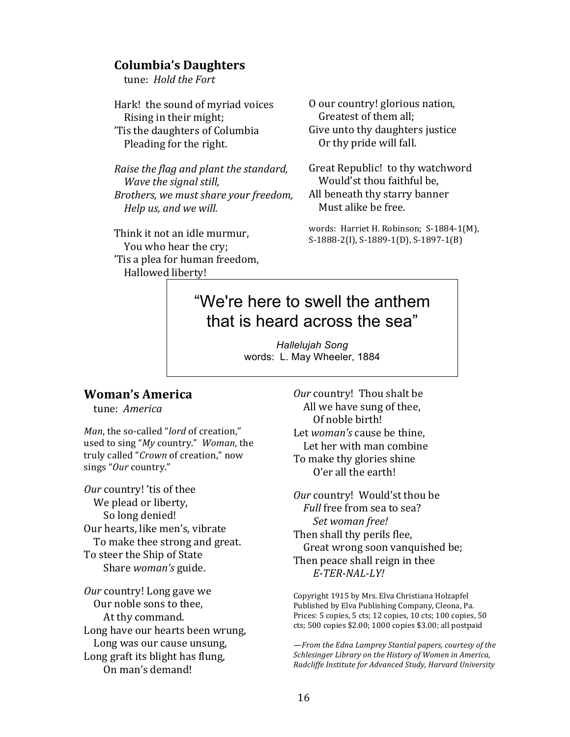#### **Columbia's Daughters**

tune: *Hold the Fort* 

Hark! the sound of myriad voices Rising in their might; 'Tis the daughters of Columbia Pleading for the right.

*Raise the flag and plant the standard, Wave the signal still, Brothers, we must share your freedom, Help us, and we will.* 

Think it not an idle murmur, You who hear the cry; 'Tis a plea for human freedom, Hallowed liberty!

O our country! glorious nation, Greatest of them all; Give unto thy daughters justice Or thy pride will fall.

Great Republic! to thy watchword Would'st thou faithful be, All beneath thy starry banner Must alike be free.

words: Harriet H. Robinson; S-1884-1(M), S-1888-2(I), S-1889-1(D), S-1897-1(B)

# "We're here to swell the anthem that is heard across the sea"

*Hallelujah Song* words: L. May Wheeler, 1884

#### **Woman's America**

 tune: *America*

*Man*, the so-called "*lord* of creation," used to sing "*My* country." *Woman*, the truly called "Crown of creation," now sings "Our country."

*Our* country! 'tis of thee We plead or liberty, So long denied! Our hearts, like men's, vibrate To make thee strong and great. To steer the Ship of State Share *woman's* guide.

*Our* country! Long gave we Our noble sons to thee, At thy command. Long have our hearts been wrung, Long was our cause unsung, Long graft its blight has flung. On man's demand!

**Our** country! Thou shalt be All we have sung of thee, Of noble birth! Let *woman's* cause be thine. Let her with man combine To make thy glories shine O'er all the earth!

*Our* country! Would'st thou be *Full* free from sea to sea?  *Set woman free!* Then shall thy perils flee, Great wrong soon vanquished be; Then peace shall reign in thee  *E-TER-NAL-LY!*

Copyright 1915 by Mrs. Elva Christiana Holzapfel Published by Elva Publishing Company, Cleona, Pa. Prices: 5 copies, 5 cts; 12 copies, 10 cts; 100 copies, 50 cts; 500 copies \$2.00; 1000 copies \$3.00; all postpaid

 $-$  From the Edna Lamprey Stantial papers, courtesy of the Schlesinger Library on the History of Women in America, *Radcliffe Institute for Advanced Study, Harvard University*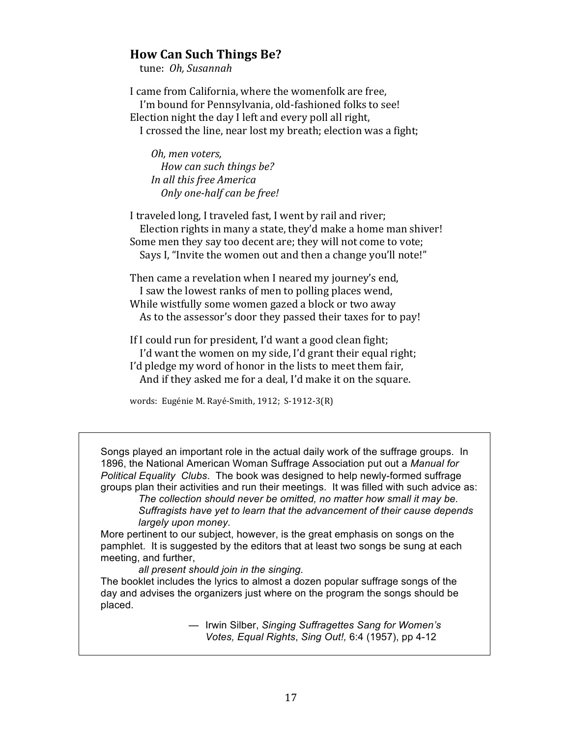#### **How Can Such Things Be?**

 tune: *Oh, Susannah*

I came from California, where the womenfolk are free, I'm bound for Pennsylvania, old-fashioned folks to see! Election night the day I left and every poll all right, I crossed the line, near lost my breath; election was a fight;

*Oh, men voters, How can such things be? In all this free America <i>Only* one-half can be free!

I traveled long, I traveled fast, I went by rail and river; Election rights in many a state, they'd make a home man shiver! Some men they say too decent are; they will not come to vote; Says I, "Invite the women out and then a change you'll note!"

Then came a revelation when I neared my journey's end, I saw the lowest ranks of men to polling places wend, While wistfully some women gazed a block or two away As to the assessor's door they passed their taxes for to pay!

If I could run for president, I'd want a good clean fight; I'd want the women on my side, I'd grant their equal right; I'd pledge my word of honor in the lists to meet them fair, And if they asked me for a deal, I'd make it on the square.

words: Eugénie M. Rayé-Smith, 1912; S-1912-3(R)

Songs played an important role in the actual daily work of the suffrage groups. In 1896, the National American Woman Suffrage Association put out a *Manual for Political Equality Clubs*. The book was designed to help newly-formed suffrage groups plan their activities and run their meetings. It was filled with such advice as:

*The collection should never be omitted, no matter how small it may be. Suffragists have yet to learn that the advancement of their cause depends largely upon money.*

More pertinent to our subject, however, is the great emphasis on songs on the pamphlet. It is suggested by the editors that at least two songs be sung at each meeting, and further,

*all present should join in the singing.*

The booklet includes the lyrics to almost a dozen popular suffrage songs of the day and advises the organizers just where on the program the songs should be placed.

> — Irwin Silber, *Singing Suffragettes Sang for Women's Votes, Equal Rights*, *Sing Out!,* 6:4 (1957), pp 4-12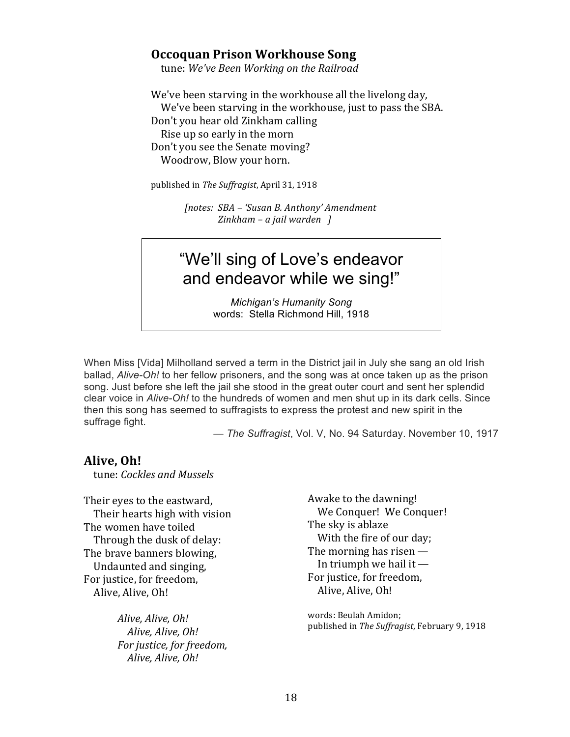#### **Occoquan Prison Workhouse Song**

tune: We've Been Working on the Railroad

We've been starving in the workhouse all the livelong day, We've been starving in the workhouse, just to pass the SBA. Don't you hear old Zinkham calling Rise up so early in the morn Don't you see the Senate moving? Woodrow, Blow your horn.

published in *The Suffragist*, April 31, 1918

*[notes: SBA – 'Susan B. Anthony' Amendment Zinkham* – *a jail* warden 1

### "We'll sing of Love's endeavor and endeavor while we sing!"

*Michigan's Humanity Song* words: Stella Richmond Hill, 1918

When Miss [Vida] Milholland served a term in the District jail in July she sang an old Irish ballad, *Alive-Oh!* to her fellow prisoners, and the song was at once taken up as the prison song. Just before she left the jail she stood in the great outer court and sent her splendid clear voice in *Alive-Oh!* to the hundreds of women and men shut up in its dark cells. Since then this song has seemed to suffragists to express the protest and new spirit in the suffrage fight.

— *The Suffragist*, Vol. V, No. 94 Saturday. November 10, 1917

#### Alive, Oh!

 tune: *Cockles and Mussels*

Their eyes to the eastward, Their hearts high with vision The women have toiled Through the dusk of delay: The brave banners blowing, Undaunted and singing, For justice, for freedom, Alive, Alive, Oh!

> Alive, Alive, Oh! Alive, Alive, Oh! *For justice, for freedom, Alive, Alive, Oh!*

Awake to the dawning! We Conquer! We Conquer! The sky is ablaze With the fire of our day; The morning has risen  $-$ In triumph we hail it  $-$ For justice, for freedom, Alive, Alive, Oh!

words: Beulah Amidon; published in *The Suffragist*, February 9, 1918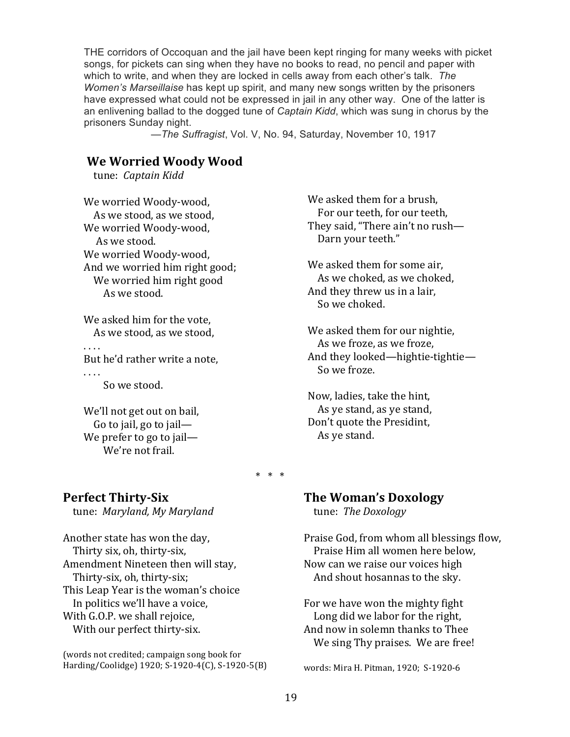THE corridors of Occoquan and the jail have been kept ringing for many weeks with picket songs, for pickets can sing when they have no books to read, no pencil and paper with which to write, and when they are locked in cells away from each other's talk. *The Women's Marseillaise* has kept up spirit, and many new songs written by the prisoners have expressed what could not be expressed in jail in any other way. One of the latter is an enlivening ballad to the dogged tune of *Captain Kidd*, which was sung in chorus by the prisoners Sunday night.

—*The Suffragist*, Vol. V, No. 94, Saturday, November 10, 1917

#### **We Worried Woody Wood**

tune: *Captain Kidd* 

We worried Woody-wood, As we stood, as we stood, We worried Woody-wood, As we stood. We worried Woody-wood, And we worried him right good; We worried him right good As we stood.

We asked him for the vote, As we stood, as we stood,

. . . .

But he'd rather write a note,

. . . .

So we stood.

We'll not get out on bail, Go to jail, go to jail— We prefer to go to jail— We're not frail.

\* \* \*

#### **Perfect Thirty-Six**

tune: Maryland, My Maryland

Another state has won the day, Thirty six, oh, thirty-six, Amendment Nineteen then will stay, Thirty-six, oh, thirty-six; This Leap Year is the woman's choice In politics we'll have a voice, With G.O.P. we shall rejoice, With our perfect thirty-six.

(words not credited; campaign song book for Harding/Coolidge) 1920; S-1920-4(C), S-1920-5(B) We asked them for a brush. For our teeth, for our teeth, They said, "There ain't no rush-Darn your teeth."

We asked them for some air, As we choked, as we choked, And they threw us in a lair, So we choked.

We asked them for our nightie. As we froze, as we froze, And they looked*—*hightie-tightie*—* So we froze.

Now, ladies, take the hint, As ye stand, as ye stand, Don't quote the Presidint, As ye stand.

**The Woman's Doxology** 

tune: The Doxology

Praise God, from whom all blessings flow, Praise Him all women here below, Now can we raise our voices high And shout hosannas to the sky.

For we have won the mighty fight Long did we labor for the right. And now in solemn thanks to Thee We sing Thy praises. We are free!

words: Mira H. Pitman, 1920; S-1920-6